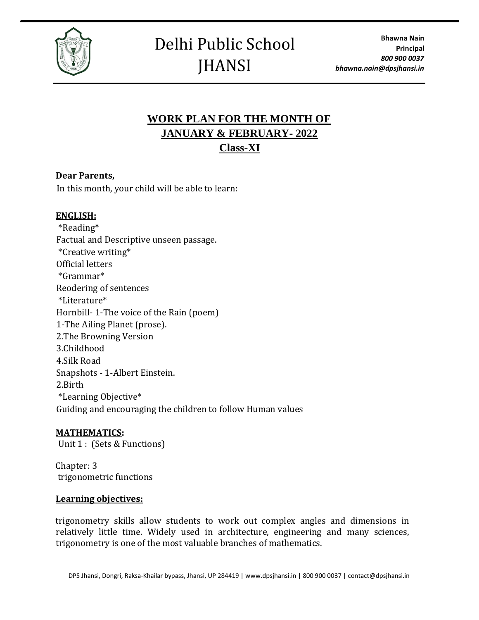

## Delhi Public School JHANSI

## **WORK PLAN FOR THE MONTH OF JANUARY & FEBRUARY- 2022 Class-XI**

### **Dear Parents,**

In this month, your child will be able to learn:

#### **ENGLISH:**

\*Reading\* Factual and Descriptive unseen passage. \*Creative writing\* Official letters \*Grammar\* Reodering of sentences \*Literature\* Hornbill- 1-The voice of the Rain (poem) 1-The Ailing Planet (prose). 2.The Browning Version 3.Childhood 4.Silk Road Snapshots - 1-Albert Einstein. 2.Birth \*Learning Objective\* Guiding and encouraging the children to follow Human values

#### **MATHEMATICS:**

Unit 1 : (Sets & Functions)

Chapter: 3 trigonometric functions

#### **Learning objectives:**

trigonometry skills allow students to work out complex angles and dimensions in relatively little time. Widely used in architecture, engineering and many sciences, trigonometry is one of the most valuable branches of mathematics.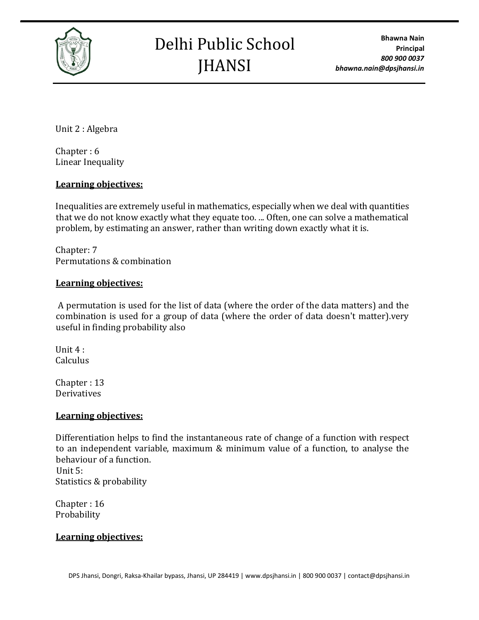

# Delhi Public School JHANSI

**Bhawna Nain Principal** *800 900 0037 bhawna.nain@dpsjhansi.in*

Unit 2 : Algebra

Chapter : 6 Linear Inequality

### **Learning objectives:**

Inequalities are extremely useful in mathematics, especially when we deal with quantities that we do not know exactly what they equate too. ... Often, one can solve a mathematical problem, by estimating an answer, rather than writing down exactly what it is.

Chapter: 7 Permutations & combination

#### **Learning objectives:**

A permutation is used for the list of data (where the order of the data matters) and the combination is used for a group of data (where the order of data doesn't matter).very useful in finding probability also

Unit 4 : Calculus

Chapter : 13 Derivatives

#### **Learning objectives:**

Differentiation helps to find the instantaneous rate of change of a function with respect to an independent variable, maximum & minimum value of a function, to analyse the behaviour of a function. Unit 5:

Statistics & probability

Chapter : 16 Probability

#### **Learning objectives:**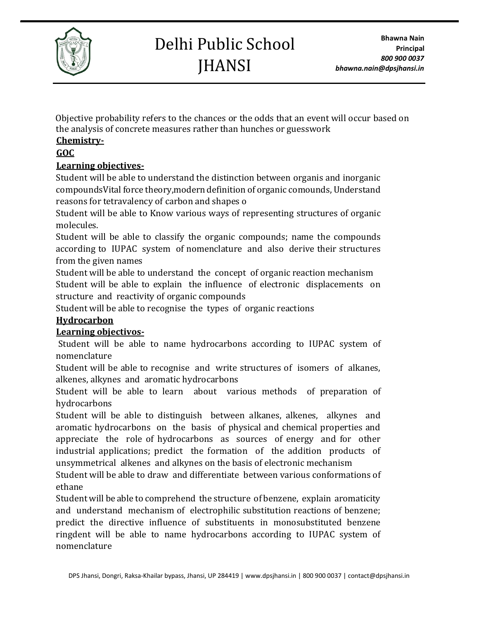

# Delhi Public School **IHANSI**

Objective probability refers to the chances or the odds that an event will occur based on the analysis of concrete measures rather than hunches or guesswork

## **Chemistry-**

## **GOC**

## **Learning objectives-**

Student will be able to understand the distinction between organis and inorganic compoundsVital force theory,modern definition of organic comounds, Understand reasons for tetravalency of carbon and shapes o

Student will be able to Know various ways of representing structures of organic molecules.

Student will be able to classify the organic compounds; name the compounds according to IUPAC system of nomenclature and also derive their structures from the given names

Student will be able to understand the concept of organic reaction mechanism Student will be able to explain the influence of electronic displacements on structure and reactivity of organic compounds

Student will be able to recognise the types of organic reactions

## **Hydrocarbon**

## **Learning objectivos-**

Student will be able to name hydrocarbons according to IUPAC system of nomenclature

Student will be able to recognise and write structures of isomers of alkanes, alkenes, alkynes and aromatic hydrocarbons

Student will be able to learn about various methods of preparation of hydrocarbons

Student will be able to distinguish between alkanes, alkenes, alkynes and aromatic hydrocarbons on the basis of physical and chemical properties and appreciate the role of hydrocarbons as sources of energy and for other industrial applications; predict the formation of the addition products of unsymmetrical alkenes and alkynes on the basis of electronic mechanism

Student will be able to draw and differentiate between various conformations of ethane

Student will be able to comprehend the structure of benzene, explain aromaticity and understand mechanism of electrophilic substitution reactions of benzene; predict the directive influence of substituents in monosubstituted benzene ringdent will be able to name hydrocarbons according to IUPAC system of nomenclature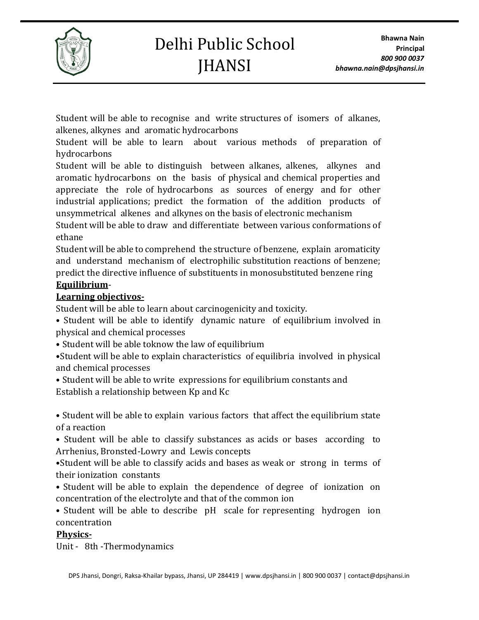

Student will be able to recognise and write structures of isomers of alkanes, alkenes, alkynes and aromatic hydrocarbons

Student will be able to learn about various methods of preparation of hydrocarbons

Student will be able to distinguish between alkanes, alkenes, alkynes and aromatic hydrocarbons on the basis of physical and chemical properties and appreciate the role of hydrocarbons as sources of energy and for other industrial applications; predict the formation of the addition products of unsymmetrical alkenes and alkynes on the basis of electronic mechanism

Student will be able to draw and differentiate between various conformations of ethane

Student will be able to comprehend the structure of benzene, explain aromaticity and understand mechanism of electrophilic substitution reactions of benzene; predict the directive influence of substituents in monosubstituted benzene ring **Equilibrium**-

## **Learning objectivos-**

Student will be able to learn about carcinogenicity and toxicity.

• Student will be able to identify dynamic nature of equilibrium involved in physical and chemical processes

• Student will be able toknow the law of equilibrium

•Student will be able to explain characteristics of equilibria involved in physical and chemical processes

• Student will be able to write expressions for equilibrium constants and Establish a relationship between Kp and Kc

• Student will be able to explain various factors that affect the equilibrium state of a reaction

• Student will be able to classify substances as acids or bases according to Arrhenius, Bronsted-Lowry and Lewis concepts

•Student will be able to classify acids and bases as weak or strong in terms of their ionization constants

• Student will be able to explain the dependence of degree of ionization on concentration of the electrolyte and that of the common ion

• Student will be able to describe pH scale for representing hydrogen ion concentration

## **Physics-**

Unit - 8th -Thermodynamics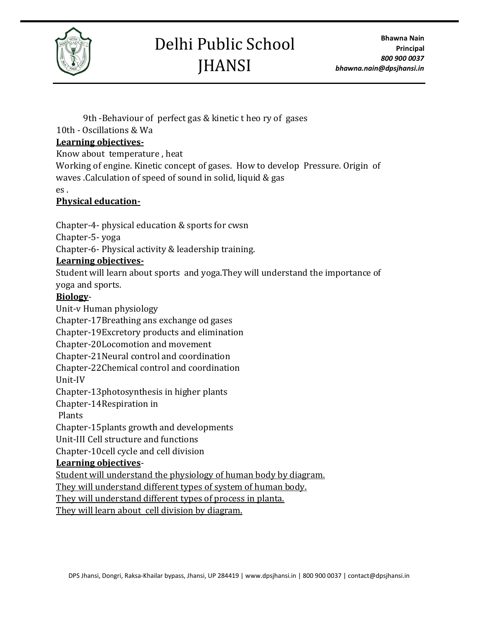

# Delhi Public School **JHANSI**

 9th -Behaviour of perfect gas & kinetic t heo ry of gases 10th - Oscillations & Wa

### **Learning objectives-**

Know about temperature , heat

Working of engine. Kinetic concept of gases. How to develop Pressure. Origin of waves .Calculation of speed of sound in solid, liquid & gas

es .

### **Physical education-**

Chapter-4- physical education & sports for cwsn

Chapter-5- yoga

Chapter-6- Physical activity & leadership training.

### **Learning objectives-**

Student will learn about sports and yoga.They will understand the importance of yoga and sports.

### **Biology**-

Unit-v Human physiology Chapter-17Breathing ans exchange od gases Chapter-19Excretory products and elimination Chapter-20Locomotion and movement Chapter-21Neural control and coordination Chapter-22Chemical control and coordination Unit-IV Chapter-13photosynthesis in higher plants Chapter-14Respiration in Plants Chapter-15plants growth and developments Unit-III Cell structure and functions Chapter-10cell cycle and cell division **Learning objectives**-Student will understand the physiology of human body by diagram. They will understand different types of system of human body.

They will understand different types of process in planta.

They will learn about cell division by diagram.